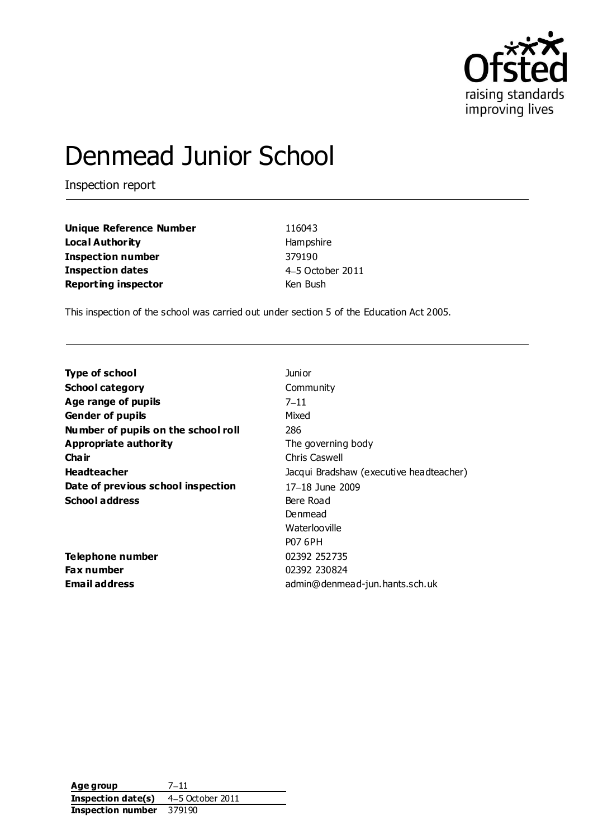

# Denmead Junior School

Inspection report

**Unique Reference Number** 116043 **Local Authority** Hampshire **Inspection number** 379190 **Inspection dates** 4-5 October 2011 **Reporting inspector Ken Bush** 

This inspection of the school was carried out under section 5 of the Education Act 2005.

| Junior                                  |
|-----------------------------------------|
| Community                               |
| $7 - 11$                                |
| Mixed                                   |
| 286                                     |
| The governing body                      |
| Chris Caswell                           |
| Jacqui Bradshaw (executive headteacher) |
| 17-18 June 2009                         |
| Bere Road                               |
| Denmead                                 |
| Waterlooville                           |
| <b>P07 6PH</b>                          |
| 02392 252735                            |
| 02392 230824                            |
| admin@denmead-jun.hants.sch.uk          |
|                                         |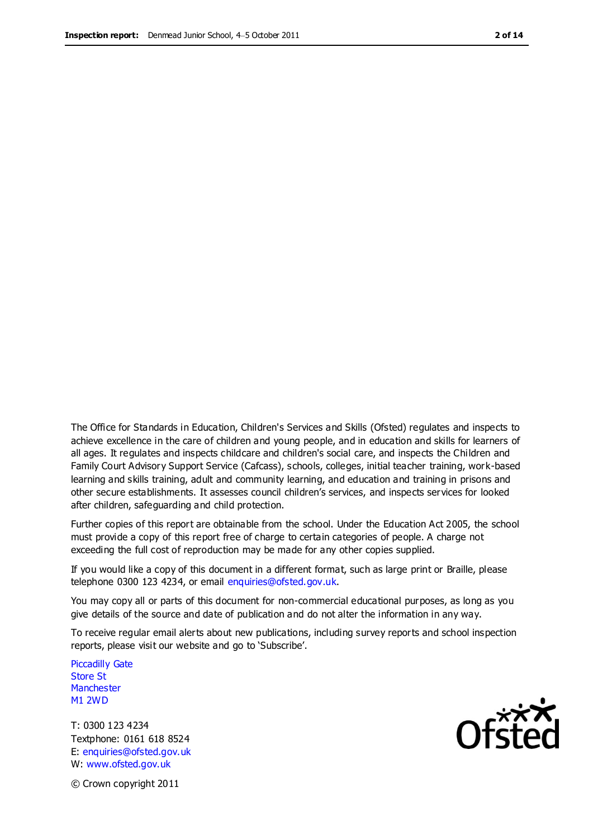The Office for Standards in Education, Children's Services and Skills (Ofsted) regulates and inspects to achieve excellence in the care of children and young people, and in education and skills for learners of all ages. It regulates and inspects childcare and children's social care, and inspects the Children and Family Court Advisory Support Service (Cafcass), schools, colleges, initial teacher training, work-based learning and skills training, adult and community learning, and education and training in prisons and other secure establishments. It assesses council children's services, and inspects services for looked after children, safeguarding and child protection.

Further copies of this report are obtainable from the school. Under the Education Act 2005, the school must provide a copy of this report free of charge to certain categories of people. A charge not exceeding the full cost of reproduction may be made for any other copies supplied.

If you would like a copy of this document in a different format, such as large print or Braille, please telephone 0300 123 4234, or email enquiries@ofsted.gov.uk.

You may copy all or parts of this document for non-commercial educational purposes, as long as you give details of the source and date of publication and do not alter the information in any way.

To receive regular email alerts about new publications, including survey reports and school inspection reports, please visit our website and go to 'Subscribe'.

Piccadilly Gate Store St **Manchester** M1 2WD

T: 0300 123 4234 Textphone: 0161 618 8524 E: enquiries@ofsted.gov.uk W: www.ofsted.gov.uk

**Ofsted** 

© Crown copyright 2011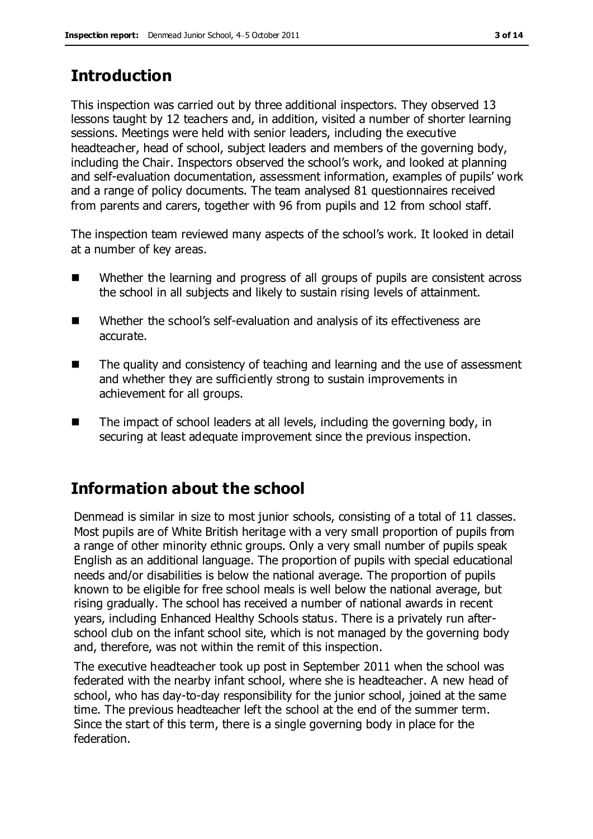# **Introduction**

This inspection was carried out by three additional inspectors. They observed 13 lessons taught by 12 teachers and, in addition, visited a number of shorter learning sessions. Meetings were held with senior leaders, including the executive headteacher, head of school, subject leaders and members of the governing body, including the Chair. Inspectors observed the school's work, and looked at planning and self-evaluation documentation, assessment information, examples of pupils' work and a range of policy documents. The team analysed 81 questionnaires received from parents and carers, together with 96 from pupils and 12 from school staff.

The inspection team reviewed many aspects of the school's work. It looked in detail at a number of key areas.

- Whether the learning and progress of all groups of pupils are consistent across the school in all subjects and likely to sustain rising levels of attainment.
- Whether the school's self-evaluation and analysis of its effectiveness are accurate.
- The quality and consistency of teaching and learning and the use of assessment and whether they are sufficiently strong to sustain improvements in achievement for all groups.
- The impact of school leaders at all levels, including the governing body, in securing at least adequate improvement since the previous inspection.

# **Information about the school**

Denmead is similar in size to most junior schools, consisting of a total of 11 classes. Most pupils are of White British heritage with a very small proportion of pupils from a range of other minority ethnic groups. Only a very small number of pupils speak English as an additional language. The proportion of pupils with special educational needs and/or disabilities is below the national average. The proportion of pupils known to be eligible for free school meals is well below the national average, but rising gradually. The school has received a number of national awards in recent years, including Enhanced Healthy Schools status. There is a privately run afterschool club on the infant school site, which is not managed by the governing body and, therefore, was not within the remit of this inspection.

The executive headteacher took up post in September 2011 when the school was federated with the nearby infant school, where she is headteacher. A new head of school, who has day-to-day responsibility for the junior school, joined at the same time. The previous headteacher left the school at the end of the summer term. Since the start of this term, there is a single governing body in place for the federation.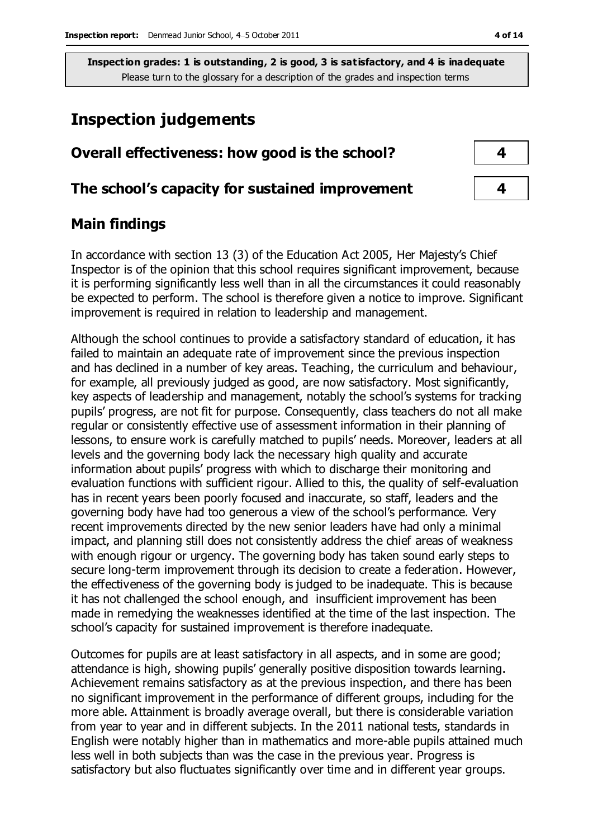# **Inspection judgements**

| Overall effectiveness: how good is the school?  |  |
|-------------------------------------------------|--|
| The school's capacity for sustained improvement |  |

## **Main findings**

In accordance with section 13 (3) of the Education Act 2005, Her Majesty's Chief Inspector is of the opinion that this school requires significant improvement, because it is performing significantly less well than in all the circumstances it could reasonably be expected to perform. The school is therefore given a notice to improve. Significant improvement is required in relation to leadership and management.

Although the school continues to provide a satisfactory standard of education, it has failed to maintain an adequate rate of improvement since the previous inspection and has declined in a number of key areas. Teaching, the curriculum and behaviour, for example, all previously judged as good, are now satisfactory. Most significantly, key aspects of leadership and management, notably the school's systems for tracking pupils' progress, are not fit for purpose. Consequently, class teachers do not all make regular or consistently effective use of assessment information in their planning of lessons, to ensure work is carefully matched to pupils' needs. Moreover, leaders at all levels and the governing body lack the necessary high quality and accurate information about pupils' progress with which to discharge their monitoring and evaluation functions with sufficient rigour. Allied to this, the quality of self-evaluation has in recent years been poorly focused and inaccurate, so staff, leaders and the governing body have had too generous a view of the school's performance. Very recent improvements directed by the new senior leaders have had only a minimal impact, and planning still does not consistently address the chief areas of weakness with enough rigour or urgency. The governing body has taken sound early steps to secure long-term improvement through its decision to create a federation. However, the effectiveness of the governing body is judged to be inadequate. This is because it has not challenged the school enough, and insufficient improvement has been made in remedying the weaknesses identified at the time of the last inspection. The school's capacity for sustained improvement is therefore inadequate.

Outcomes for pupils are at least satisfactory in all aspects, and in some are good; attendance is high, showing pupils' generally positive disposition towards learning. Achievement remains satisfactory as at the previous inspection, and there has been no significant improvement in the performance of different groups, including for the more able. Attainment is broadly average overall, but there is considerable variation from year to year and in different subjects. In the 2011 national tests, standards in English were notably higher than in mathematics and more-able pupils attained much less well in both subjects than was the case in the previous year. Progress is satisfactory but also fluctuates significantly over time and in different year groups.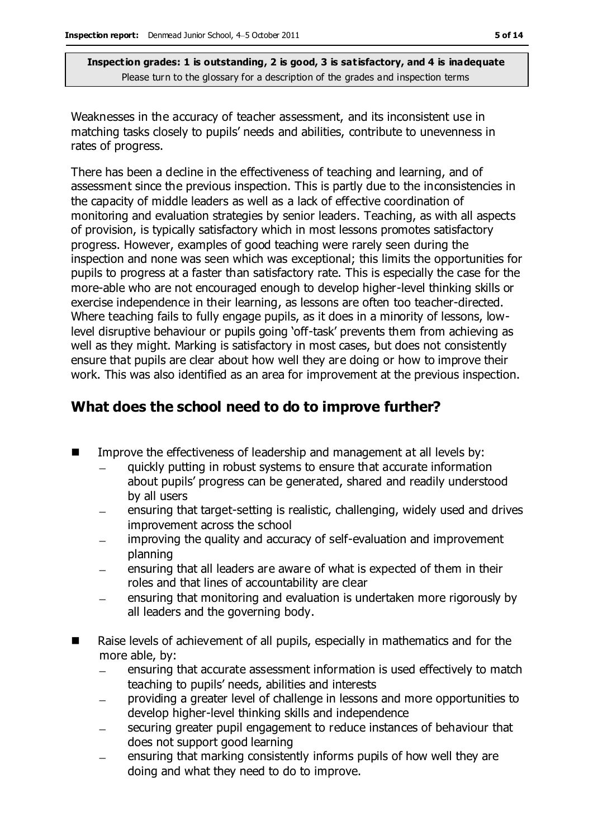Weaknesses in the accuracy of teacher assessment, and its inconsistent use in matching tasks closely to pupils' needs and abilities, contribute to unevenness in rates of progress.

There has been a decline in the effectiveness of teaching and learning, and of assessment since the previous inspection. This is partly due to the inconsistencies in the capacity of middle leaders as well as a lack of effective coordination of monitoring and evaluation strategies by senior leaders. Teaching, as with all aspects of provision, is typically satisfactory which in most lessons promotes satisfactory progress. However, examples of good teaching were rarely seen during the inspection and none was seen which was exceptional; this limits the opportunities for pupils to progress at a faster than satisfactory rate. This is especially the case for the more-able who are not encouraged enough to develop higher-level thinking skills or exercise independence in their learning, as lessons are often too teacher-directed. Where teaching fails to fully engage pupils, as it does in a minority of lessons, lowlevel disruptive behaviour or pupils going 'off-task' prevents them from achieving as well as they might. Marking is satisfactory in most cases, but does not consistently ensure that pupils are clear about how well they are doing or how to improve their work. This was also identified as an area for improvement at the previous inspection.

# **What does the school need to do to improve further?**

- $\blacksquare$  Improve the effectiveness of leadership and management at all levels by:
	- quickly putting in robust systems to ensure that accurate information about pupils' progress can be generated, shared and readily understood by all users
	- ensuring that target-setting is realistic, challenging, widely used and drives improvement across the school
	- improving the quality and accuracy of self-evaluation and improvement planning
	- ensuring that all leaders are aware of what is expected of them in their roles and that lines of accountability are clear
	- ensuring that monitoring and evaluation is undertaken more rigorously by all leaders and the governing body.
- Raise levels of achievement of all pupils, especially in mathematics and for the more able, by:
	- ensuring that accurate assessment information is used effectively to match teaching to pupils' needs, abilities and interests
	- providing a greater level of challenge in lessons and more opportunities to develop higher-level thinking skills and independence
	- securing greater pupil engagement to reduce instances of behaviour that does not support good learning
	- ensuring that marking consistently informs pupils of how well they are  $\equiv$ doing and what they need to do to improve.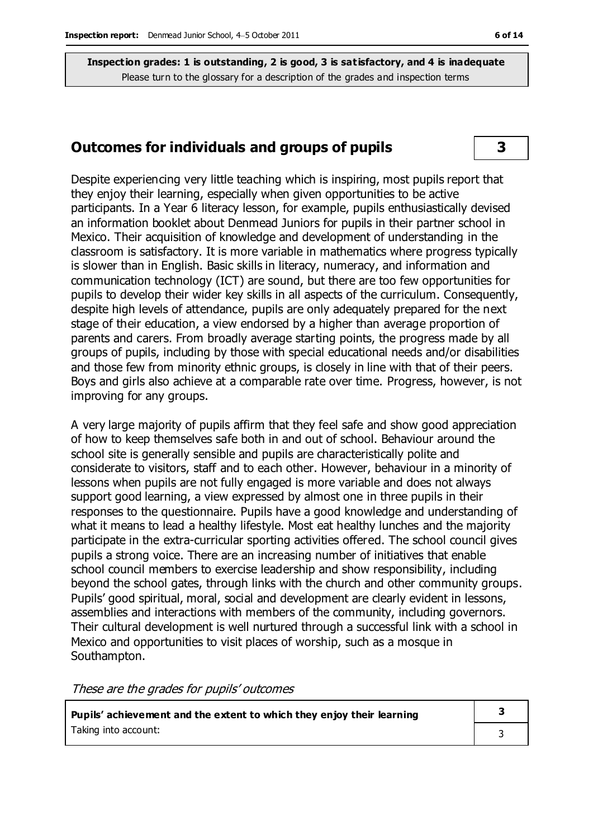### **Outcomes for individuals and groups of pupils 3**

Despite experiencing very little teaching which is inspiring, most pupils report that they enjoy their learning, especially when given opportunities to be active participants. In a Year 6 literacy lesson, for example, pupils enthusiastically devised an information booklet about Denmead Juniors for pupils in their partner school in Mexico. Their acquisition of knowledge and development of understanding in the classroom is satisfactory. It is more variable in mathematics where progress typically is slower than in English. Basic skills in literacy, numeracy, and information and communication technology (ICT) are sound, but there are too few opportunities for pupils to develop their wider key skills in all aspects of the curriculum. Consequently, despite high levels of attendance, pupils are only adequately prepared for the next stage of their education, a view endorsed by a higher than average proportion of parents and carers. From broadly average starting points, the progress made by all groups of pupils, including by those with special educational needs and/or disabilities and those few from minority ethnic groups, is closely in line with that of their peers. Boys and girls also achieve at a comparable rate over time. Progress, however, is not improving for any groups.

A very large majority of pupils affirm that they feel safe and show good appreciation of how to keep themselves safe both in and out of school. Behaviour around the school site is generally sensible and pupils are characteristically polite and considerate to visitors, staff and to each other. However, behaviour in a minority of lessons when pupils are not fully engaged is more variable and does not always support good learning, a view expressed by almost one in three pupils in their responses to the questionnaire. Pupils have a good knowledge and understanding of what it means to lead a healthy lifestyle. Most eat healthy lunches and the majority participate in the extra-curricular sporting activities offered. The school council gives pupils a strong voice. There are an increasing number of initiatives that enable school council members to exercise leadership and show responsibility, including beyond the school gates, through links with the church and other community groups. Pupils' good spiritual, moral, social and development are clearly evident in lessons, assemblies and interactions with members of the community, including governors. Their cultural development is well nurtured through a successful link with a school in Mexico and opportunities to visit places of worship, such as a mosque in Southampton.

These are the grades for pupils' outcomes

| Pupils' achievement and the extent to which they enjoy their learning |  |  |
|-----------------------------------------------------------------------|--|--|
| Taking into account:                                                  |  |  |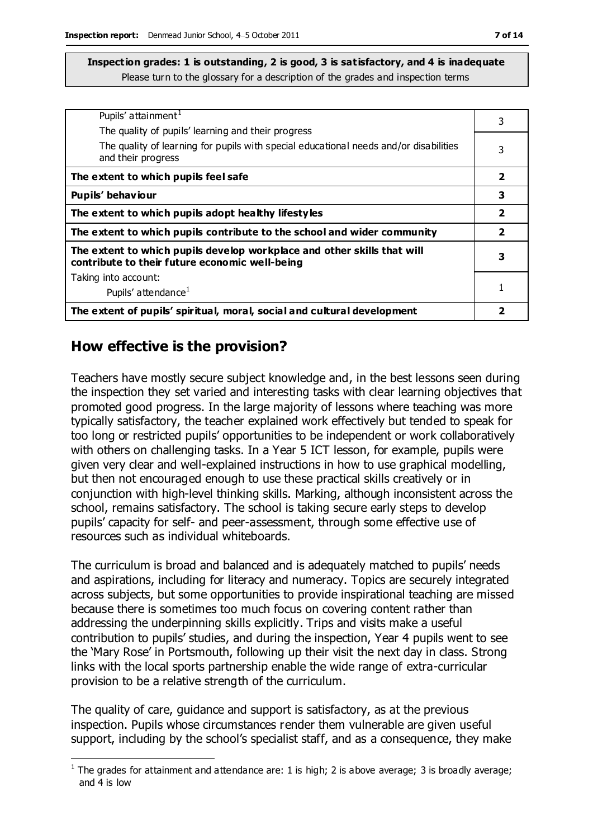| Pupils' attainment <sup>1</sup>                                                                                           | 3                       |
|---------------------------------------------------------------------------------------------------------------------------|-------------------------|
| The quality of pupils' learning and their progress                                                                        |                         |
| The quality of learning for pupils with special educational needs and/or disabilities<br>and their progress               | 3                       |
| The extent to which pupils feel safe                                                                                      | $\overline{\mathbf{2}}$ |
| Pupils' behaviour                                                                                                         | 3                       |
| The extent to which pupils adopt healthy lifestyles                                                                       | $\overline{\mathbf{2}}$ |
| The extent to which pupils contribute to the school and wider community                                                   | $\overline{2}$          |
| The extent to which pupils develop workplace and other skills that will<br>contribute to their future economic well-being | 3                       |
| Taking into account:                                                                                                      |                         |
| Pupils' attendance <sup>1</sup>                                                                                           |                         |
| The extent of pupils' spiritual, moral, social and cultural development                                                   | 2                       |

## **How effective is the provision?**

 $\overline{a}$ 

Teachers have mostly secure subject knowledge and, in the best lessons seen during the inspection they set varied and interesting tasks with clear learning objectives that promoted good progress. In the large majority of lessons where teaching was more typically satisfactory, the teacher explained work effectively but tended to speak for too long or restricted pupils' opportunities to be independent or work collaboratively with others on challenging tasks. In a Year 5 ICT lesson, for example, pupils were given very clear and well-explained instructions in how to use graphical modelling, but then not encouraged enough to use these practical skills creatively or in conjunction with high-level thinking skills. Marking, although inconsistent across the school, remains satisfactory. The school is taking secure early steps to develop pupils' capacity for self- and peer-assessment, through some effective use of resources such as individual whiteboards.

The curriculum is broad and balanced and is adequately matched to pupils' needs and aspirations, including for literacy and numeracy. Topics are securely integrated across subjects, but some opportunities to provide inspirational teaching are missed because there is sometimes too much focus on covering content rather than addressing the underpinning skills explicitly. Trips and visits make a useful contribution to pupils' studies, and during the inspection, Year 4 pupils went to see the 'Mary Rose' in Portsmouth, following up their visit the next day in class. Strong links with the local sports partnership enable the wide range of extra-curricular provision to be a relative strength of the curriculum.

The quality of care, guidance and support is satisfactory, as at the previous inspection. Pupils whose circumstances render them vulnerable are given useful support, including by the school's specialist staff, and as a consequence, they make

<sup>&</sup>lt;sup>1</sup> The grades for attainment and attendance are: 1 is high; 2 is above average; 3 is broadly average; and 4 is low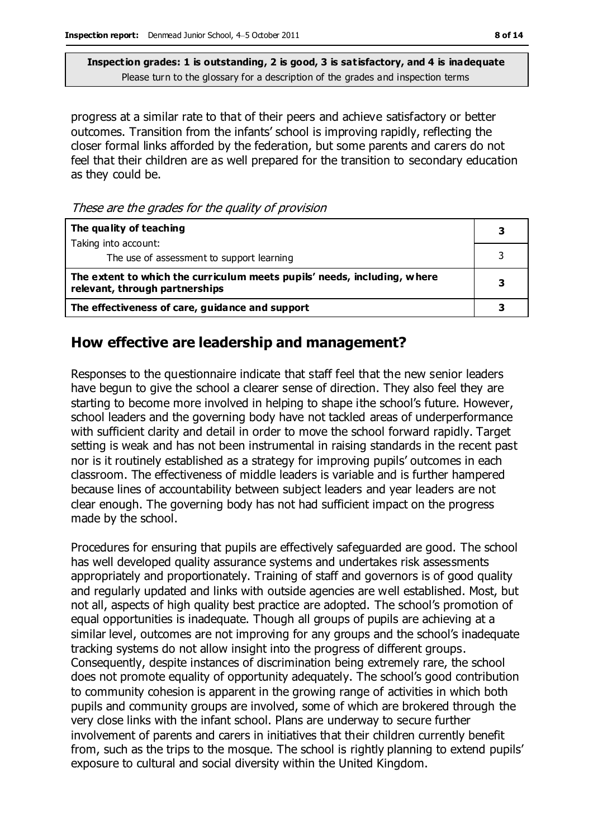progress at a similar rate to that of their peers and achieve satisfactory or better outcomes. Transition from the infants' school is improving rapidly, reflecting the closer formal links afforded by the federation, but some parents and carers do not feel that their children are as well prepared for the transition to secondary education as they could be.

These are the grades for the quality of provision

| The quality of teaching                                                                                    |  |
|------------------------------------------------------------------------------------------------------------|--|
| Taking into account:                                                                                       |  |
| The use of assessment to support learning                                                                  |  |
| The extent to which the curriculum meets pupils' needs, including, where<br>relevant, through partnerships |  |
| The effectiveness of care, guidance and support                                                            |  |

#### **How effective are leadership and management?**

Responses to the questionnaire indicate that staff feel that the new senior leaders have begun to give the school a clearer sense of direction. They also feel they are starting to become more involved in helping to shape ithe school's future. However, school leaders and the governing body have not tackled areas of underperformance with sufficient clarity and detail in order to move the school forward rapidly. Target setting is weak and has not been instrumental in raising standards in the recent past nor is it routinely established as a strategy for improving pupils' outcomes in each classroom. The effectiveness of middle leaders is variable and is further hampered because lines of accountability between subject leaders and year leaders are not clear enough. The governing body has not had sufficient impact on the progress made by the school.

Procedures for ensuring that pupils are effectively safeguarded are good. The school has well developed quality assurance systems and undertakes risk assessments appropriately and proportionately. Training of staff and governors is of good quality and regularly updated and links with outside agencies are well established. Most, but not all, aspects of high quality best practice are adopted. The school's promotion of equal opportunities is inadequate. Though all groups of pupils are achieving at a similar level, outcomes are not improving for any groups and the school's inadequate tracking systems do not allow insight into the progress of different groups. Consequently, despite instances of discrimination being extremely rare, the school does not promote equality of opportunity adequately. The school's good contribution to community cohesion is apparent in the growing range of activities in which both pupils and community groups are involved, some of which are brokered through the very close links with the infant school. Plans are underway to secure further involvement of parents and carers in initiatives that their children currently benefit from, such as the trips to the mosque. The school is rightly planning to extend pupils' exposure to cultural and social diversity within the United Kingdom.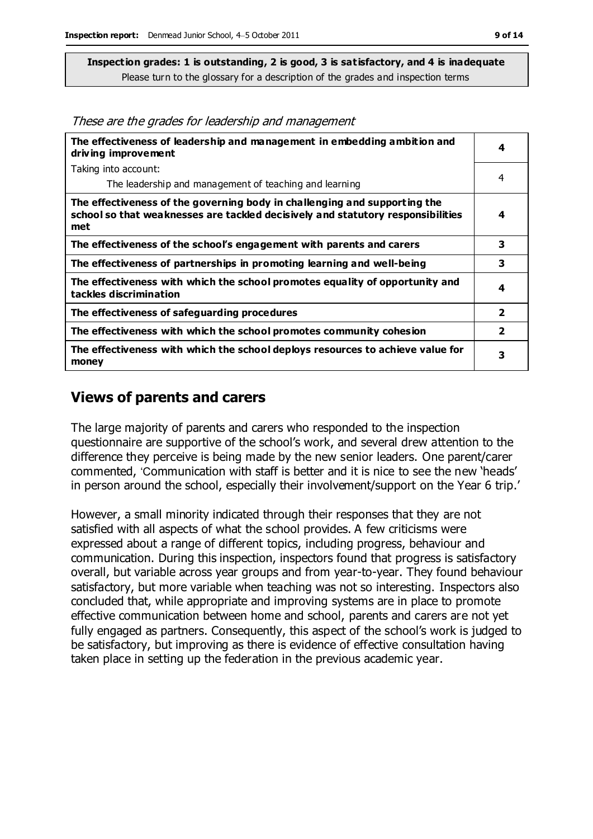These are the grades for leadership and management

| The effectiveness of leadership and management in embedding ambition and<br>driving improvement                                                                     | 4                       |
|---------------------------------------------------------------------------------------------------------------------------------------------------------------------|-------------------------|
| Taking into account:                                                                                                                                                |                         |
| The leadership and management of teaching and learning                                                                                                              | 4                       |
| The effectiveness of the governing body in challenging and supporting the<br>school so that weaknesses are tackled decisively and statutory responsibilities<br>met | 4                       |
| The effectiveness of the school's engagement with parents and carers                                                                                                | 3                       |
| The effectiveness of partnerships in promoting learning and well-being                                                                                              | 3                       |
| The effectiveness with which the school promotes equality of opportunity and<br>tackles discrimination                                                              | 4                       |
| The effectiveness of safeguarding procedures                                                                                                                        | $\overline{\mathbf{2}}$ |
| The effectiveness with which the school promotes community cohesion                                                                                                 | $\overline{\mathbf{2}}$ |
| The effectiveness with which the school deploys resources to achieve value for<br>money                                                                             | 3                       |

#### **Views of parents and carers**

The large majority of parents and carers who responded to the inspection questionnaire are supportive of the school's work, and several drew attention to the difference they perceive is being made by the new senior leaders. One parent/carer commented, 'Communication with staff is better and it is nice to see the new 'heads' in person around the school, especially their involvement/support on the Year 6 trip.'

However, a small minority indicated through their responses that they are not satisfied with all aspects of what the school provides. A few criticisms were expressed about a range of different topics, including progress, behaviour and communication. During this inspection, inspectors found that progress is satisfactory overall, but variable across year groups and from year-to-year. They found behaviour satisfactory, but more variable when teaching was not so interesting. Inspectors also concluded that, while appropriate and improving systems are in place to promote effective communication between home and school, parents and carers are not yet fully engaged as partners. Consequently, this aspect of the school's work is judged to be satisfactory, but improving as there is evidence of effective consultation having taken place in setting up the federation in the previous academic year.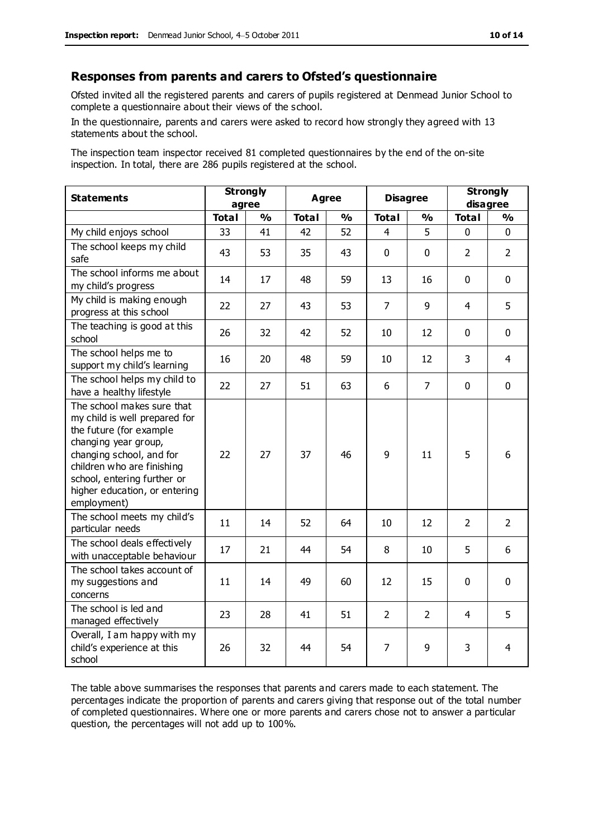#### **Responses from parents and carers to Ofsted's questionnaire**

Ofsted invited all the registered parents and carers of pupils registered at Denmead Junior School to complete a questionnaire about their views of the school.

In the questionnaire, parents and carers were asked to record how strongly they agreed with 13 statements about the school.

The inspection team inspector received 81 completed questionnaires by the end of the on-site inspection. In total, there are 286 pupils registered at the school.

| <b>Statements</b>                                                                                                                                                                                                                                       |              | <b>Strongly</b>                        | <b>Agree</b> |               | <b>Disagree</b>               |                | <b>Strongly</b><br>disagree |                |
|---------------------------------------------------------------------------------------------------------------------------------------------------------------------------------------------------------------------------------------------------------|--------------|----------------------------------------|--------------|---------------|-------------------------------|----------------|-----------------------------|----------------|
|                                                                                                                                                                                                                                                         | <b>Total</b> | agree<br>$\frac{0}{0}$<br><b>Total</b> |              | $\frac{1}{2}$ | <b>Total</b><br>$\frac{0}{0}$ |                | <b>Total</b>                | $\frac{1}{2}$  |
| My child enjoys school                                                                                                                                                                                                                                  | 33           | 41                                     | 42           | 52            | 4                             | 5              | 0                           | $\Omega$       |
| The school keeps my child<br>safe                                                                                                                                                                                                                       | 43           | 53                                     | 35           | 43            | $\mathbf 0$                   | $\mathbf 0$    | $\overline{2}$              | $\overline{2}$ |
| The school informs me about<br>my child's progress                                                                                                                                                                                                      | 14           | 17                                     | 48           | 59            | 13                            | 16             | $\mathbf 0$                 | $\mathbf 0$    |
| My child is making enough<br>progress at this school                                                                                                                                                                                                    | 22           | 27                                     | 43           | 53            | $\overline{7}$                | 9              | $\overline{4}$              | 5              |
| The teaching is good at this<br>school                                                                                                                                                                                                                  | 26           | 32                                     | 42           | 52            | 10                            | 12             | $\mathbf 0$                 | $\mathbf 0$    |
| The school helps me to<br>support my child's learning                                                                                                                                                                                                   | 16           | 20                                     | 48           | 59            | 10                            | 12             | 3                           | 4              |
| The school helps my child to<br>have a healthy lifestyle                                                                                                                                                                                                | 22           | 27                                     | 51           | 63            | 6                             | $\overline{7}$ | $\mathbf 0$                 | $\mathbf 0$    |
| The school makes sure that<br>my child is well prepared for<br>the future (for example<br>changing year group,<br>changing school, and for<br>children who are finishing<br>school, entering further or<br>higher education, or entering<br>employment) | 22           | 27                                     | 37           | 46            | 9                             | 11             | 5                           | 6              |
| The school meets my child's<br>particular needs                                                                                                                                                                                                         | 11           | 14                                     | 52           | 64            | 10                            | 12             | $\overline{2}$              | $\overline{2}$ |
| The school deals effectively<br>with unacceptable behaviour                                                                                                                                                                                             | 17           | 21                                     | 44           | 54            | 8                             | 10             | 5                           | 6              |
| The school takes account of<br>my suggestions and<br>concerns                                                                                                                                                                                           | 11           | 14                                     | 49           | 60            | 12                            | 15             | $\mathbf 0$                 | $\mathbf 0$    |
| The school is led and<br>managed effectively                                                                                                                                                                                                            | 23           | 28                                     | 41           | 51            | $\overline{2}$                | $\overline{2}$ | $\overline{4}$              | 5              |
| Overall, I am happy with my<br>child's experience at this<br>school                                                                                                                                                                                     | 26           | 32                                     | 44           | 54            | 7                             | 9              | 3                           | 4              |

The table above summarises the responses that parents and carers made to each statement. The percentages indicate the proportion of parents and carers giving that response out of the total number of completed questionnaires. Where one or more parents and carers chose not to answer a particular question, the percentages will not add up to 100%.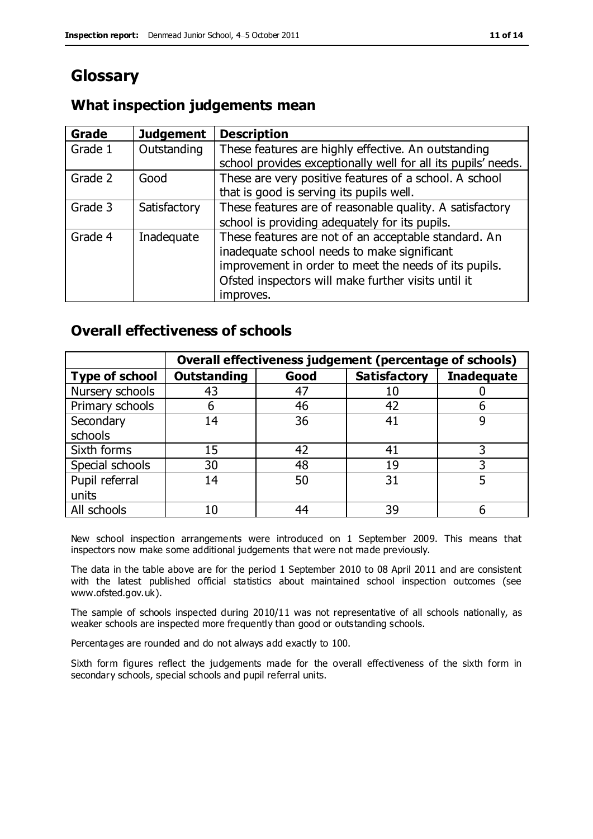# **Glossary**

## **What inspection judgements mean**

| Grade   | <b>Judgement</b> | <b>Description</b>                                            |
|---------|------------------|---------------------------------------------------------------|
| Grade 1 | Outstanding      | These features are highly effective. An outstanding           |
|         |                  | school provides exceptionally well for all its pupils' needs. |
| Grade 2 | Good             | These are very positive features of a school. A school        |
|         |                  | that is good is serving its pupils well.                      |
| Grade 3 | Satisfactory     | These features are of reasonable quality. A satisfactory      |
|         |                  | school is providing adequately for its pupils.                |
| Grade 4 | Inadequate       | These features are not of an acceptable standard. An          |
|         |                  | inadequate school needs to make significant                   |
|         |                  | improvement in order to meet the needs of its pupils.         |
|         |                  | Ofsted inspectors will make further visits until it           |
|         |                  | improves.                                                     |

## **Overall effectiveness of schools**

|                       | Overall effectiveness judgement (percentage of schools) |      |                     |                   |
|-----------------------|---------------------------------------------------------|------|---------------------|-------------------|
| <b>Type of school</b> | <b>Outstanding</b>                                      | Good | <b>Satisfactory</b> | <b>Inadequate</b> |
| Nursery schools       | 43                                                      | 47   |                     |                   |
| Primary schools       | h                                                       | 46   | 42                  |                   |
| Secondary             | 14                                                      | 36   | 41                  |                   |
| schools               |                                                         |      |                     |                   |
| Sixth forms           | 15                                                      | 42   | 41                  | 3                 |
| Special schools       | 30                                                      | 48   | 19                  |                   |
| Pupil referral        | 14                                                      | 50   | 31                  |                   |
| units                 |                                                         |      |                     |                   |
| All schools           | 10                                                      | 44   | 39                  |                   |

New school inspection arrangements were introduced on 1 September 2009. This means that inspectors now make some additional judgements that were not made previously.

The data in the table above are for the period 1 September 2010 to 08 April 2011 and are consistent with the latest published official statistics about maintained school inspection outcomes (see www.ofsted.gov.uk).

The sample of schools inspected during 2010/11 was not representative of all schools nationally, as weaker schools are inspected more frequently than good or outstanding schools.

Percentages are rounded and do not always add exactly to 100.

Sixth form figures reflect the judgements made for the overall effectiveness of the sixth form in secondary schools, special schools and pupil referral units.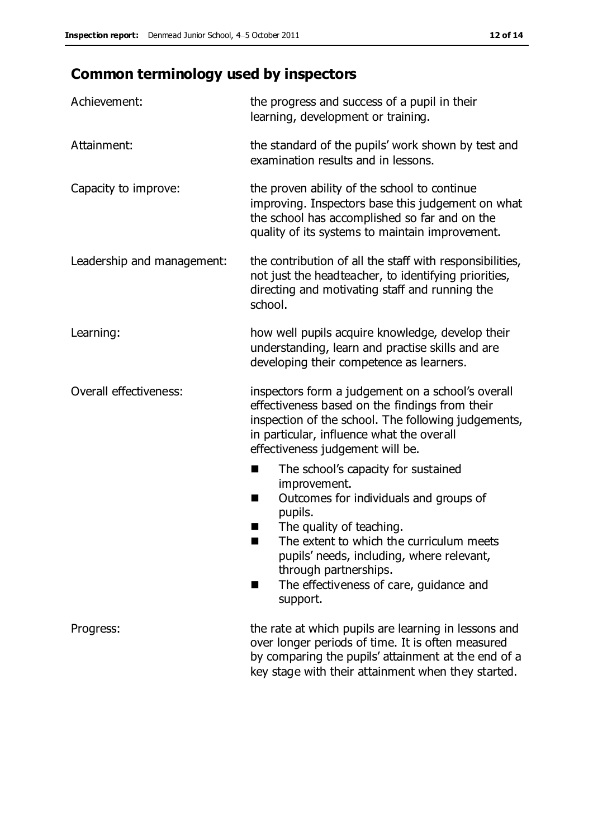# **Common terminology used by inspectors**

| Achievement:               | the progress and success of a pupil in their<br>learning, development or training.                                                                                                                                                                                                                                                |  |  |
|----------------------------|-----------------------------------------------------------------------------------------------------------------------------------------------------------------------------------------------------------------------------------------------------------------------------------------------------------------------------------|--|--|
| Attainment:                | the standard of the pupils' work shown by test and<br>examination results and in lessons.                                                                                                                                                                                                                                         |  |  |
| Capacity to improve:       | the proven ability of the school to continue<br>improving. Inspectors base this judgement on what<br>the school has accomplished so far and on the<br>quality of its systems to maintain improvement.                                                                                                                             |  |  |
| Leadership and management: | the contribution of all the staff with responsibilities,<br>not just the headteacher, to identifying priorities,<br>directing and motivating staff and running the<br>school.                                                                                                                                                     |  |  |
| Learning:                  | how well pupils acquire knowledge, develop their<br>understanding, learn and practise skills and are<br>developing their competence as learners.                                                                                                                                                                                  |  |  |
| Overall effectiveness:     | inspectors form a judgement on a school's overall<br>effectiveness based on the findings from their<br>inspection of the school. The following judgements,<br>in particular, influence what the overall<br>effectiveness judgement will be.                                                                                       |  |  |
|                            | The school's capacity for sustained<br>improvement.<br>Outcomes for individuals and groups of<br>H<br>pupils.<br>The quality of teaching.<br>ш<br>The extent to which the curriculum meets<br>٠<br>pupils' needs, including, where relevant,<br>through partnerships.<br>The effectiveness of care, guidance and<br>H<br>support. |  |  |
| Progress:                  | the rate at which pupils are learning in lessons and<br>over longer periods of time. It is often measured<br>by comparing the pupils' attainment at the end of a<br>key stage with their attainment when they started.                                                                                                            |  |  |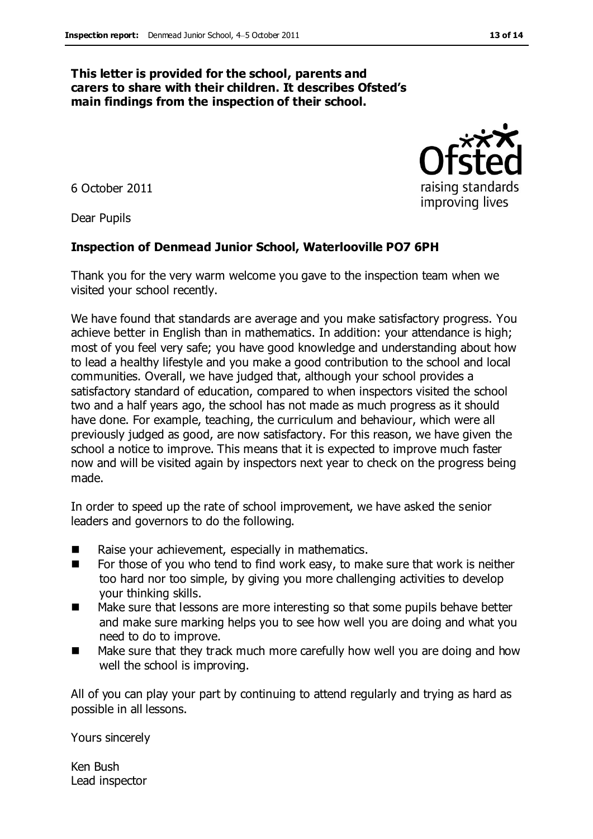#### **This letter is provided for the school, parents and carers to share with their children. It describes Ofsted's main findings from the inspection of their school.**

6 October 2011

Dear Pupils

#### **Inspection of Denmead Junior School, Waterlooville PO7 6PH**

Thank you for the very warm welcome you gave to the inspection team when we visited your school recently.

We have found that standards are average and you make satisfactory progress. You achieve better in English than in mathematics. In addition: your attendance is high; most of you feel very safe; you have good knowledge and understanding about how to lead a healthy lifestyle and you make a good contribution to the school and local communities. Overall, we have judged that, although your school provides a satisfactory standard of education, compared to when inspectors visited the school two and a half years ago, the school has not made as much progress as it should have done. For example, teaching, the curriculum and behaviour, which were all previously judged as good, are now satisfactory. For this reason, we have given the school a notice to improve. This means that it is expected to improve much faster now and will be visited again by inspectors next year to check on the progress being made.

In order to speed up the rate of school improvement, we have asked the senior leaders and governors to do the following.

- Raise your achievement, especially in mathematics.
- $\blacksquare$  For those of you who tend to find work easy, to make sure that work is neither too hard nor too simple, by giving you more challenging activities to develop your thinking skills.
- Make sure that lessons are more interesting so that some pupils behave better and make sure marking helps you to see how well you are doing and what you need to do to improve.
- Make sure that they track much more carefully how well you are doing and how well the school is improving.

All of you can play your part by continuing to attend regularly and trying as hard as possible in all lessons.

Yours sincerely

Ken Bush Lead inspector